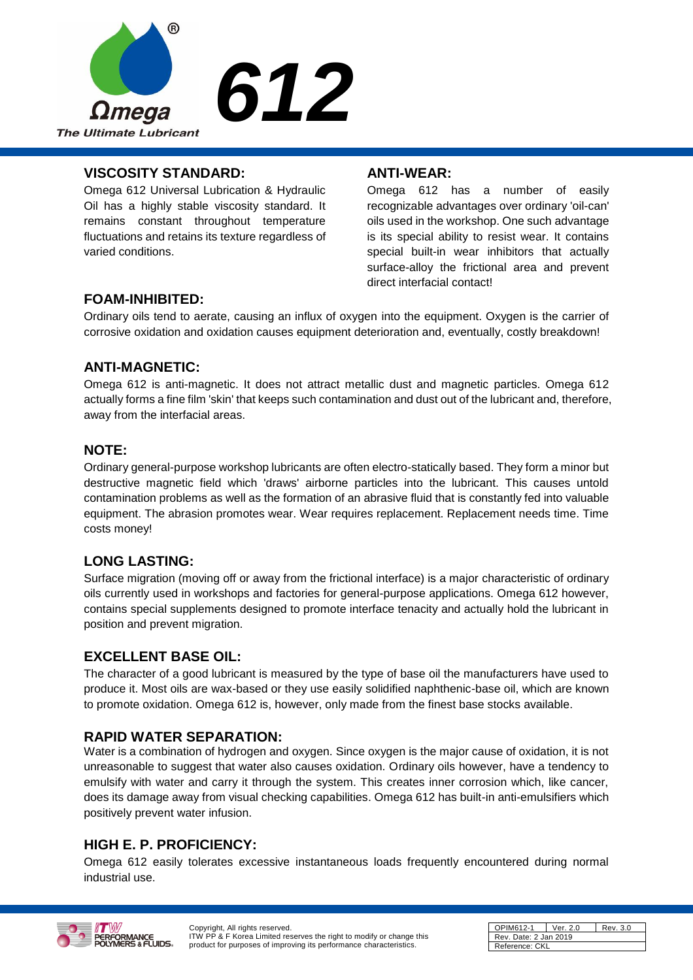

## **VISCOSITY STANDARD:**

Omega 612 Universal Lubrication & Hydraulic Oil has a highly stable viscosity standard. It remains constant throughout temperature fluctuations and retains its texture regardless of varied conditions.

### **ANTI-WEAR:**

Omega 612 has a number of easily recognizable advantages over ordinary 'oil-can' oils used in the workshop. One such advantage is its special ability to resist wear. It contains special built-in wear inhibitors that actually surface-alloy the frictional area and prevent direct interfacial contact!

# **FOAM-INHIBITED:**

Ordinary oils tend to aerate, causing an influx of oxygen into the equipment. Oxygen is the carrier of corrosive oxidation and oxidation causes equipment deterioration and, eventually, costly breakdown!

# **ANTI-MAGNETIC:**

Omega 612 is anti-magnetic. It does not attract metallic dust and magnetic particles. Omega 612 actually forms a fine film 'skin' that keeps such contamination and dust out of the lubricant and, therefore, away from the interfacial areas.

## **NOTE:**

Ordinary general-purpose workshop lubricants are often electro-statically based. They form a minor but destructive magnetic field which 'draws' airborne particles into the lubricant. This causes untold contamination problems as well as the formation of an abrasive fluid that is constantly fed into valuable equipment. The abrasion promotes wear. Wear requires replacement. Replacement needs time. Time costs money!

# **LONG LASTING:**

Surface migration (moving off or away from the frictional interface) is a major characteristic of ordinary oils currently used in workshops and factories for general-purpose applications. Omega 612 however, contains special supplements designed to promote interface tenacity and actually hold the lubricant in position and prevent migration.

# **EXCELLENT BASE OIL:**

The character of a good lubricant is measured by the type of base oil the manufacturers have used to produce it. Most oils are wax-based or they use easily solidified naphthenic-base oil, which are known to promote oxidation. Omega 612 is, however, only made from the finest base stocks available.

# **RAPID WATER SEPARATION:**

Water is a combination of hydrogen and oxygen. Since oxygen is the major cause of oxidation, it is not unreasonable to suggest that water also causes oxidation. Ordinary oils however, have a tendency to emulsify with water and carry it through the system. This creates inner corrosion which, like cancer, does its damage away from visual checking capabilities. Omega 612 has built-in anti-emulsifiers which positively prevent water infusion.

# **HIGH E. P. PROFICIENCY:**

Omega 612 easily tolerates excessive instantaneous loads frequently encountered during normal industrial use.



Copyright, All rights reserved. ITW PP & F Korea Limited reserves the right to modify or change this product for purposes of improving its performance characteristics.

| OPIM612-1             | Ver. 2.0 | Rev. 3.0 |
|-----------------------|----------|----------|
| Rev. Date: 2 Jan 2019 |          |          |
| Reference: CKL        |          |          |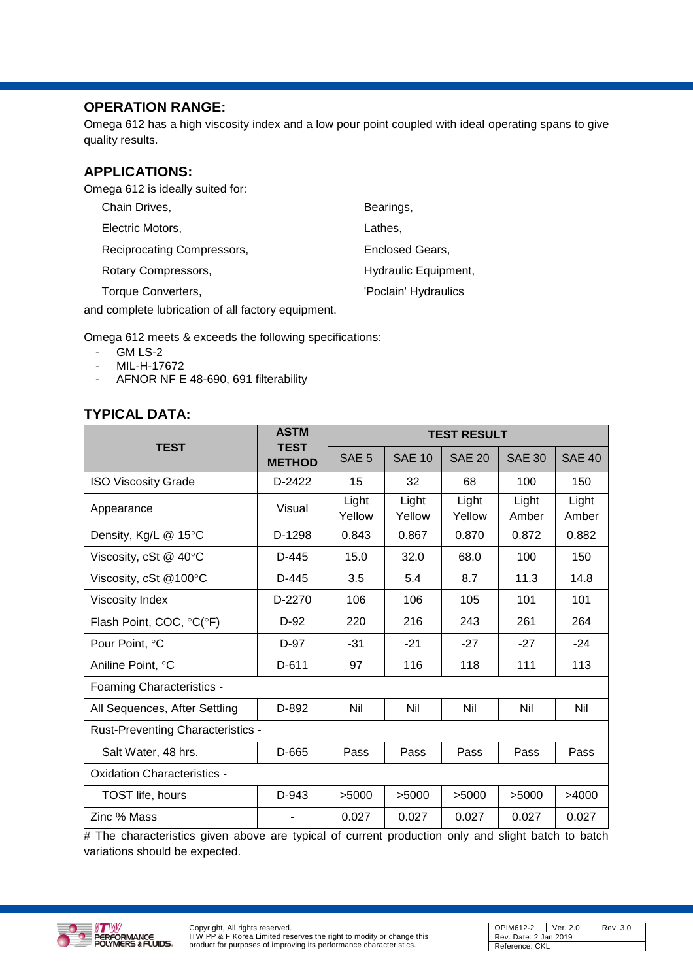# **OPERATION RANGE:**

Omega 612 has a high viscosity index and a low pour point coupled with ideal operating spans to give quality results.

# **APPLICATIONS:**

Omega 612 is ideally suited for:

| Chain Drives,              | Bearings,            |
|----------------------------|----------------------|
| Electric Motors,           | Lathes,              |
| Reciprocating Compressors, | Enclosed Gears,      |
| Rotary Compressors,        | Hydraulic Equipment, |
| Torque Converters,         | 'Poclain' Hydraulics |

and complete lubrication of all factory equipment.

Omega 612 meets & exceeds the following specifications:

- GM LS-2
- MIL-H-17672
- AFNOR NF E 48-690, 691 filterability

# **TYPICAL DATA:**

|                                          | <b>ASTM</b>                  | <b>TEST RESULT</b> |                 |                 |                |                |
|------------------------------------------|------------------------------|--------------------|-----------------|-----------------|----------------|----------------|
| <b>TEST</b>                              | <b>TEST</b><br><b>METHOD</b> | SAE <sub>5</sub>   | <b>SAE 10</b>   | <b>SAE 20</b>   | <b>SAE 30</b>  | <b>SAE 40</b>  |
| <b>ISO Viscosity Grade</b>               | D-2422                       | 15                 | 32              | 68              | 100            | 150            |
| Appearance                               | Visual                       | Light<br>Yellow    | Light<br>Yellow | Light<br>Yellow | Light<br>Amber | Light<br>Amber |
| Density, Kg/L @ 15°C                     | D-1298                       | 0.843              | 0.867           | 0.870           | 0.872          | 0.882          |
| Viscosity, cSt $@$ 40 $°C$               | $D-445$                      | 15.0               | 32.0            | 68.0            | 100            | 150            |
| Viscosity, cSt @100°C                    | D-445                        | 3.5                | 5.4             | 8.7             | 11.3           | 14.8           |
| <b>Viscosity Index</b>                   | D-2270                       | 106                | 106             | 105             | 101            | 101            |
| Flash Point, COC, °C(°F)                 | $D-92$                       | 220                | 216             | 243             | 261            | 264            |
| Pour Point, °C                           | D-97                         | $-31$              | $-21$           | $-27$           | $-27$          | $-24$          |
| Aniline Point, °C                        | $D-611$                      | 97                 | 116             | 118             | 111            | 113            |
| Foaming Characteristics -                |                              |                    |                 |                 |                |                |
| All Sequences, After Settling            | D-892                        | Nil                | Nil             | Nil             | Nil            | Nil            |
| <b>Rust-Preventing Characteristics -</b> |                              |                    |                 |                 |                |                |
| Salt Water, 48 hrs.                      | D-665                        | Pass               | Pass            | Pass            | Pass           | Pass           |
| <b>Oxidation Characteristics -</b>       |                              |                    |                 |                 |                |                |
| TOST life, hours                         | $D-943$                      | >5000              | >5000           | >5000           | >5000          | >4000          |
| Zinc % Mass                              |                              | 0.027              | 0.027           | 0.027           | 0.027          | 0.027          |

# The characteristics given above are typical of current production only and slight batch to batch variations should be expected.



| OPIM612-2             | Rev. 3.0<br>Ver. 2.0 |  |
|-----------------------|----------------------|--|
| Rev. Date: 2 Jan 2019 |                      |  |
| Reference: CKL        |                      |  |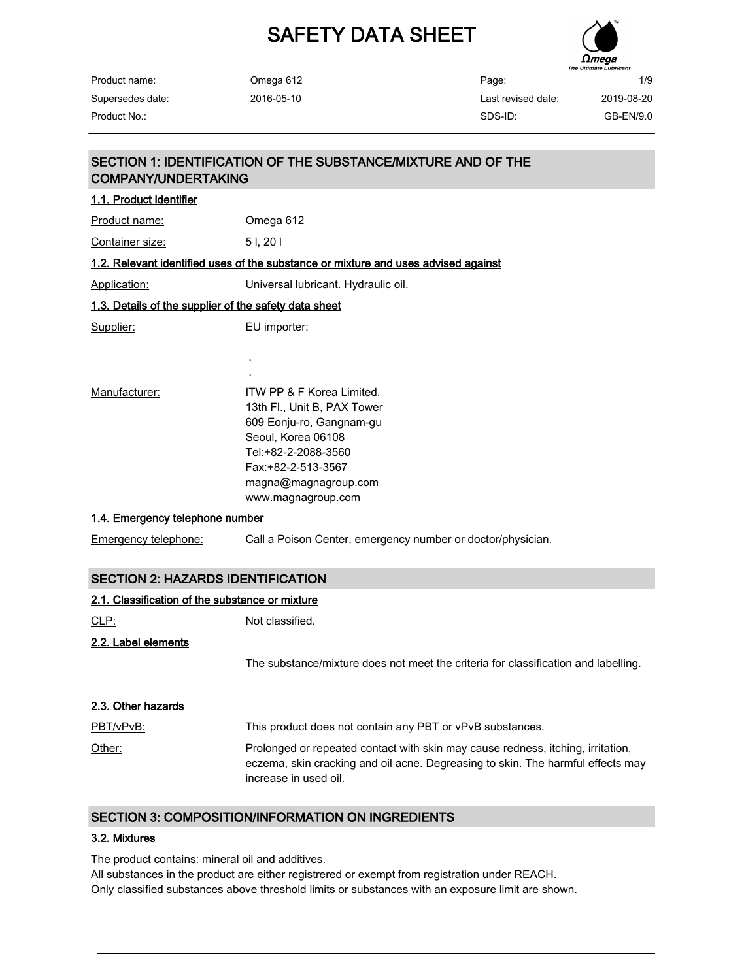

| Product name:    |  |
|------------------|--|
| Supersedes date: |  |
| Product No.:     |  |

Omega 612 2016-05-10

# SECTION 2: HAZARDS IDENTIFICATION 2.1. Classification of the substance or mixture CLP: Not classified. 2.2. Label elements The substance/mixture does not meet the criteria for classification and labelling. SECTION 1: IDENTIFICATION OF THE SUBSTANCE/MIXTURE AND OF THE COMPANY/UNDERTAKING 1.1. Product identifier Product name: Comega 612 Container size: 5 l, 20 l 1.2. Relevant identified uses of the substance or mixture and uses advised against Application: Universal lubricant. Hydraulic oil. 1.3. Details of the supplier of the safety data sheet Supplier: EU importer: . . Manufacturer: ITW PP & F Korea Limited. 13th Fl., Unit B, PAX Tower 609 Eonju-ro, Gangnam-gu Seoul, Korea 06108 Tel:+82-2-2088-3560 Fax:+82-2-513-3567 magna@magnagroup.com www.magnagroup.com 1.4. Emergency telephone number Emergency telephone: Call a Poison Center, emergency number or doctor/physician.

| 2.3. Other hazards |                                                                                                                                                                                             |
|--------------------|---------------------------------------------------------------------------------------------------------------------------------------------------------------------------------------------|
| PBT/vPvB:          | This product does not contain any PBT or vPvB substances.                                                                                                                                   |
| Other:             | Prolonged or repeated contact with skin may cause redness, itching, irritation,<br>eczema, skin cracking and oil acne. Degreasing to skin. The harmful effects may<br>increase in used oil. |

#### SECTION 3: COMPOSITION/INFORMATION ON INGREDIENTS

#### 3.2. Mixtures

The product contains: mineral oil and additives.

All substances in the product are either registrered or exempt from registration under REACH. Only classified substances above threshold limits or substances with an exposure limit are shown.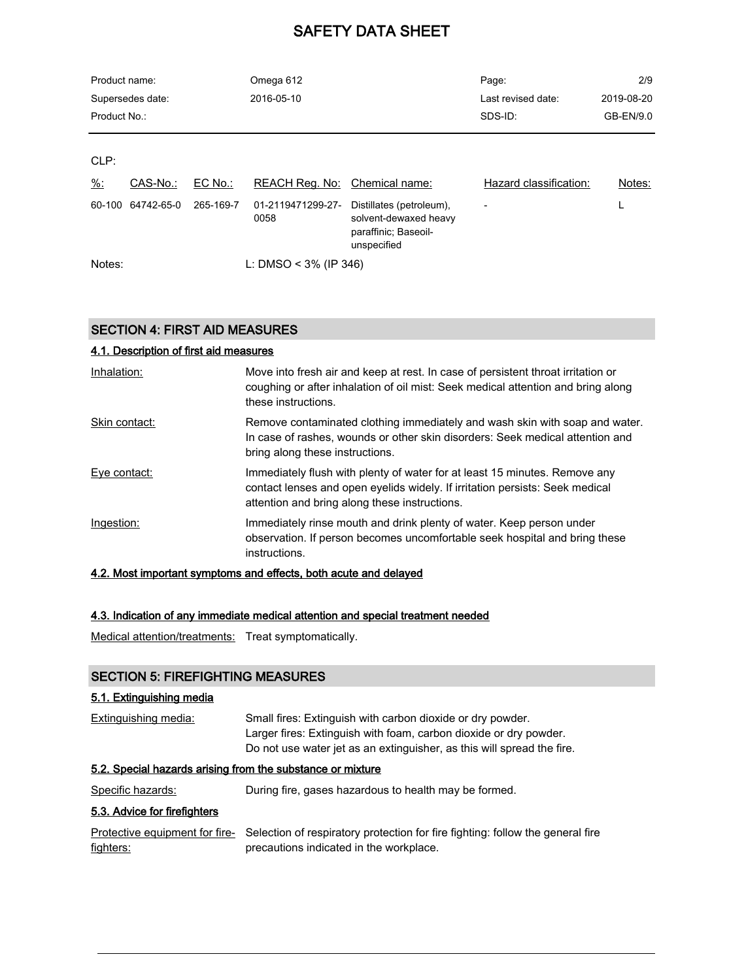| Product name: |                  |           | Omega 612                 |                                                                                          | Page:                  | 2/9        |
|---------------|------------------|-----------|---------------------------|------------------------------------------------------------------------------------------|------------------------|------------|
|               | Supersedes date: |           | 2016-05-10                |                                                                                          | Last revised date:     | 2019-08-20 |
| Product No.:  |                  |           |                           |                                                                                          | SDS-ID:                | GB-EN/9.0  |
|               |                  |           |                           |                                                                                          |                        |            |
| CLP:          |                  |           |                           |                                                                                          |                        |            |
| $\frac{9}{6}$ | CAS-No.:         | EC No.:   | REACH Reg. No:            | Chemical name:                                                                           | Hazard classification: | Notes:     |
| 60-100        | 64742-65-0       | 265-169-7 | 01-2119471299-27-<br>0058 | Distillates (petroleum),<br>solvent-dewaxed heavy<br>paraffinic; Baseoil-<br>unspecified |                        | L          |
| Notes:        |                  |           | L: DMSO < $3\%$ (IP 346)  |                                                                                          |                        |            |

#### SECTION 4: FIRST AID MEASURES

# 4.1. Description of first aid measures Inhalation: Move into fresh air and keep at rest. In case of persistent throat irritation or coughing or after inhalation of oil mist: Seek medical attention and bring along these instructions. Skin contact: Remove contaminated clothing immediately and wash skin with soap and water. In case of rashes, wounds or other skin disorders: Seek medical attention and bring along these instructions. Eye contact: Immediately flush with plenty of water for at least 15 minutes. Remove any contact lenses and open eyelids widely. If irritation persists: Seek medical attention and bring along these instructions. Ingestion: Immediately rinse mouth and drink plenty of water. Keep person under observation. If person becomes uncomfortable seek hospital and bring these instructions. 4.2. Most important symptoms and effects, both acute and delayed

# 4.3. Indication of any immediate medical attention and special treatment needed

Medical attention/treatments: Treat symptomatically.

#### SECTION 5: FIREFIGHTING MEASURES

#### 5.1. Extinguishing media

| Small fires: Extinguish with carbon dioxide or dry powder.             |
|------------------------------------------------------------------------|
| Larger fires: Extinguish with foam, carbon dioxide or dry powder.      |
| Do not use water jet as an extinguisher, as this will spread the fire. |
|                                                                        |

#### 5.2. Special hazards arising from the substance or mixture

Specific hazards: During fire, gases hazardous to health may be formed.

#### 5.3. Advice for firefighters

|           | Protective equipment for fire- Selection of respiratory protection for fire fighting: follow the general fire |
|-----------|---------------------------------------------------------------------------------------------------------------|
| fighters: | precautions indicated in the workplace.                                                                       |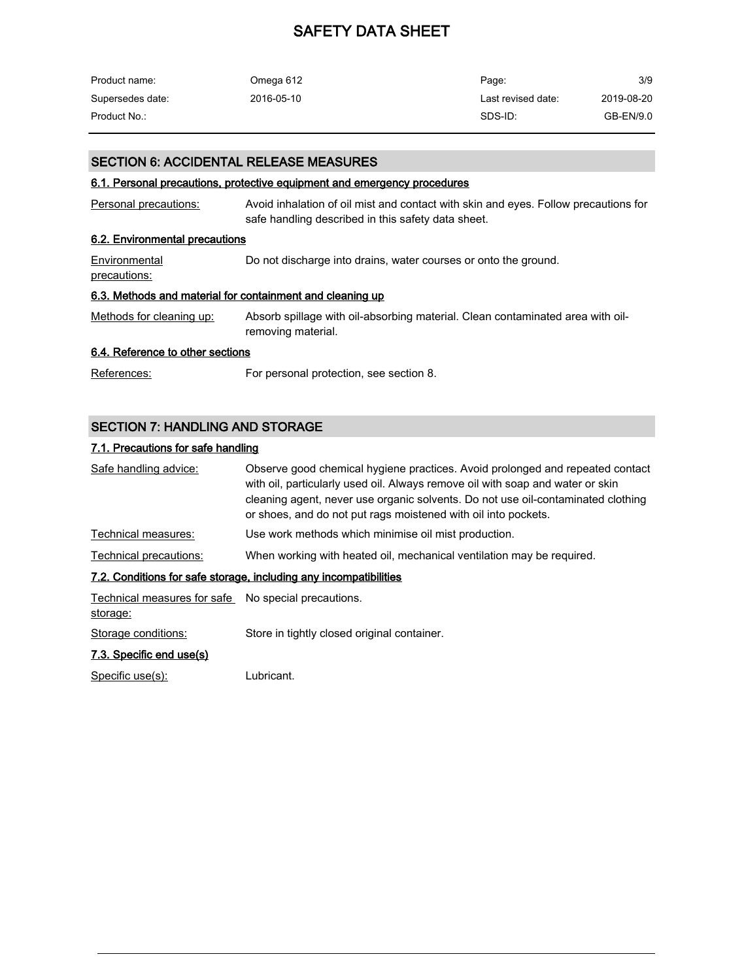| Product name:    | Omega 612  | Page:              | 3/9        |
|------------------|------------|--------------------|------------|
| Supersedes date: | 2016-05-10 | Last revised date: | 2019-08-20 |
| Product No.:     |            | SDS-ID:            | GB-EN/9.0  |

#### SECTION 6: ACCIDENTAL RELEASE MEASURES

#### 6.1. Personal precautions, protective equipment and emergency procedures

| Personal precautions:                                     | Avoid inhalation of oil mist and contact with skin and eyes. Follow precautions for<br>safe handling described in this safety data sheet. |  |
|-----------------------------------------------------------|-------------------------------------------------------------------------------------------------------------------------------------------|--|
| 6.2. Environmental precautions                            |                                                                                                                                           |  |
| Environmental<br>precautions:                             | Do not discharge into drains, water courses or onto the ground.                                                                           |  |
| 6.3. Methods and material for containment and cleaning up |                                                                                                                                           |  |
| Methods for cleaning up:                                  | Absorb spillage with oil-absorbing material. Clean contaminated area with oil-<br>removing material.                                      |  |
| 6.4. Reference to other sections                          |                                                                                                                                           |  |
| References:                                               | For personal protection, see section 8.                                                                                                   |  |

## SECTION 7: HANDLING AND STORAGE

#### 7.1. Precautions for safe handling

| Safe handling advice:                                           | Observe good chemical hygiene practices. Avoid prolonged and repeated contact<br>with oil, particularly used oil. Always remove oil with soap and water or skin<br>cleaning agent, never use organic solvents. Do not use oil-contaminated clothing<br>or shoes, and do not put rags moistened with oil into pockets. |
|-----------------------------------------------------------------|-----------------------------------------------------------------------------------------------------------------------------------------------------------------------------------------------------------------------------------------------------------------------------------------------------------------------|
| Technical measures:                                             | Use work methods which minimise oil mist production.                                                                                                                                                                                                                                                                  |
| <b>Technical precautions:</b>                                   | When working with heated oil, mechanical ventilation may be required.                                                                                                                                                                                                                                                 |
|                                                                 | 7.2. Conditions for safe storage, including any incompatibilities                                                                                                                                                                                                                                                     |
| Technical measures for safe No special precautions.<br>storage: |                                                                                                                                                                                                                                                                                                                       |
| Storage conditions:                                             | Store in tightly closed original container.                                                                                                                                                                                                                                                                           |
| 7.3. Specific end use(s)                                        |                                                                                                                                                                                                                                                                                                                       |
| Specific use(s):                                                | Lubricant.                                                                                                                                                                                                                                                                                                            |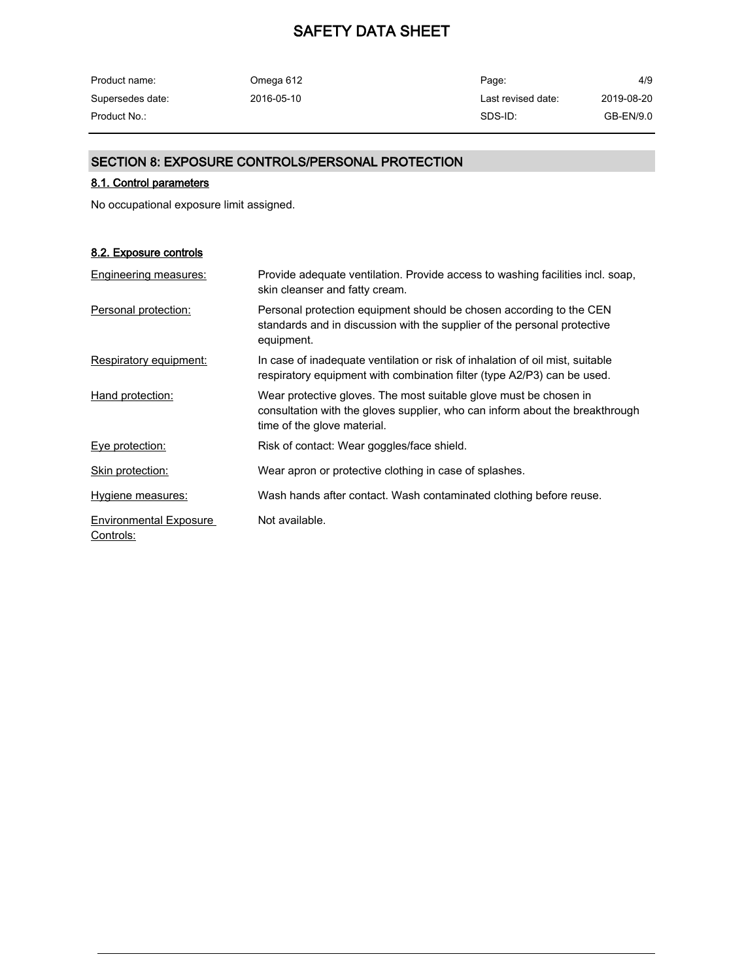| Product name:    | Omega 612  | Page:              | 4/9        |
|------------------|------------|--------------------|------------|
| Supersedes date: | 2016-05-10 | Last revised date: | 2019-08-20 |
| Product No.:     |            | SDS-ID:            | GB-EN/9.0  |

### SECTION 8: EXPOSURE CONTROLS/PERSONAL PROTECTION

#### 8.1. Control parameters

No occupational exposure limit assigned.

#### 8.2. Exposure controls

| Engineering measures:                      | Provide adequate ventilation. Provide access to washing facilities incl. soap,<br>skin cleanser and fatty cream.                                                                 |
|--------------------------------------------|----------------------------------------------------------------------------------------------------------------------------------------------------------------------------------|
| Personal protection:                       | Personal protection equipment should be chosen according to the CEN<br>standards and in discussion with the supplier of the personal protective<br>equipment.                    |
| Respiratory equipment:                     | In case of inadequate ventilation or risk of inhalation of oil mist, suitable<br>respiratory equipment with combination filter (type A2/P3) can be used.                         |
| Hand protection:                           | Wear protective gloves. The most suitable glove must be chosen in<br>consultation with the gloves supplier, who can inform about the breakthrough<br>time of the glove material. |
| Eye protection:                            | Risk of contact: Wear goggles/face shield.                                                                                                                                       |
| Skin protection:                           | Wear apron or protective clothing in case of splashes.                                                                                                                           |
| Hygiene measures:                          | Wash hands after contact. Wash contaminated clothing before reuse.                                                                                                               |
| <b>Environmental Exposure</b><br>Controls: | Not available.                                                                                                                                                                   |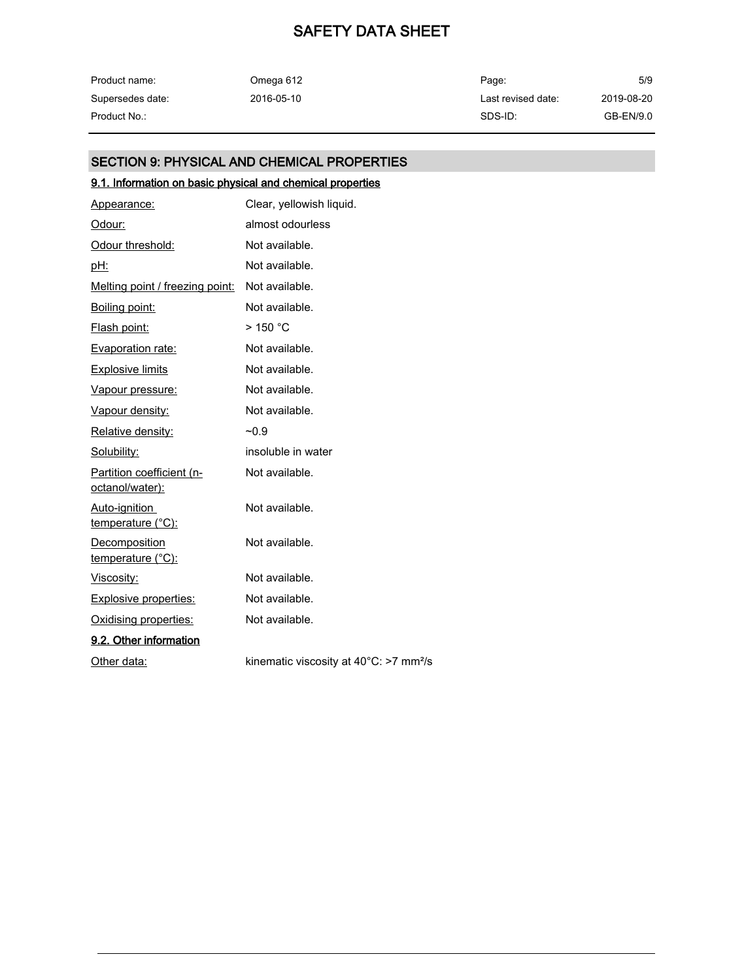| Product name:    | Omega 612  | Page:              | 5/9        |
|------------------|------------|--------------------|------------|
| Supersedes date: | 2016-05-10 | Last revised date: | 2019-08-20 |
| Product No.:     |            | SDS-ID:            | GB-EN/9.0  |

# SECTION 9: PHYSICAL AND CHEMICAL PROPERTIES

## 9.1. Information on basic physical and chemical properties

| Appearance:                                  | Clear, yellowish liquid.                                     |
|----------------------------------------------|--------------------------------------------------------------|
| Odour:                                       | almost odourless                                             |
| Odour threshold:                             | Not available.                                               |
| pH:                                          | Not available.                                               |
| Melting point / freezing point:              | Not available.                                               |
| Boiling point:                               | Not available.                                               |
| Flash point:                                 | $>$ 150 °C                                                   |
| <b>Evaporation rate:</b>                     | Not available.                                               |
| <b>Explosive limits</b>                      | Not available.                                               |
| Vapour pressure:                             | Not available.                                               |
| Vapour density:                              | Not available.                                               |
| Relative density:                            | $-0.9$                                                       |
| Solubility:                                  | insoluble in water                                           |
| Partition coefficient (n-<br>octanol/water): | Not available.                                               |
| Auto-ignition<br>temperature (°C):           | Not available.                                               |
| Decomposition<br><u>temperature (°C):</u>    | Not available.                                               |
| Viscosity:                                   | Not available.                                               |
| <b>Explosive properties:</b>                 | Not available.                                               |
| Oxidising properties:                        | Not available.                                               |
| 9.2. Other information                       |                                                              |
| Other data:                                  | kinematic viscosity at $40^{\circ}$ C: >7 mm <sup>2</sup> /s |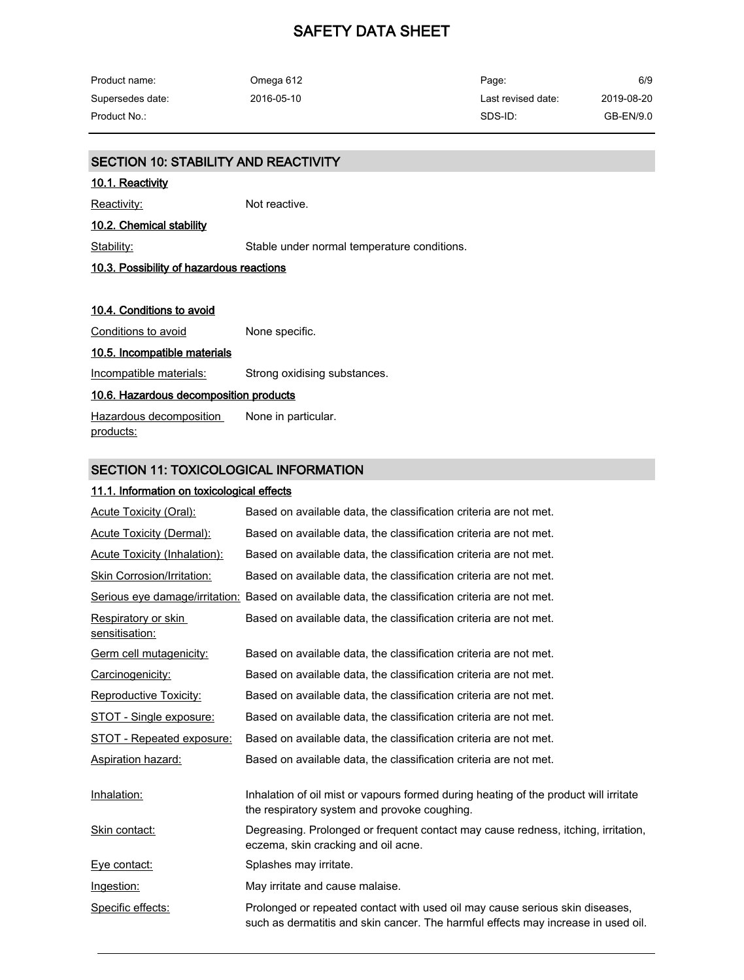| Product name:    | Omega 612  | Page:              | 6/9        |
|------------------|------------|--------------------|------------|
| Supersedes date: | 2016-05-10 | Last revised date: | 2019-08-20 |
| Product No.:     |            | SDS-ID:            | GB-EN/9.0  |

# SECTION 10: STABILITY AND REACTIVITY 10.1. Reactivity Reactivity: Not reactive. 10.2. Chemical stability Stability: Stable under normal temperature conditions. 10.3. Possibility of hazardous reactions 10.4. Conditions to avoid Conditions to avoid None specific. 10.5. Incompatible materials Incompatible materials: Strong oxidising substances. 10.6. Hazardous decomposition products Hazardous decomposition products: None in particular.

#### SECTION 11: TOXICOLOGICAL INFORMATION

#### 11.1. Information on toxicological effects

| Acute Toxicity (Oral):                | Based on available data, the classification criteria are not met.                                                                                                 |
|---------------------------------------|-------------------------------------------------------------------------------------------------------------------------------------------------------------------|
| <b>Acute Toxicity (Dermal):</b>       | Based on available data, the classification criteria are not met.                                                                                                 |
| Acute Toxicity (Inhalation):          | Based on available data, the classification criteria are not met.                                                                                                 |
| Skin Corrosion/Irritation:            | Based on available data, the classification criteria are not met.                                                                                                 |
|                                       | Serious eye damage/irritation: Based on available data, the classification criteria are not met.                                                                  |
| Respiratory or skin<br>sensitisation: | Based on available data, the classification criteria are not met.                                                                                                 |
| Germ cell mutagenicity:               | Based on available data, the classification criteria are not met.                                                                                                 |
| Carcinogenicity:                      | Based on available data, the classification criteria are not met.                                                                                                 |
| Reproductive Toxicity:                | Based on available data, the classification criteria are not met.                                                                                                 |
| <b>STOT - Single exposure:</b>        | Based on available data, the classification criteria are not met.                                                                                                 |
| STOT - Repeated exposure:             | Based on available data, the classification criteria are not met.                                                                                                 |
| Aspiration hazard:                    | Based on available data, the classification criteria are not met.                                                                                                 |
| Inhalation:                           | Inhalation of oil mist or vapours formed during heating of the product will irritate<br>the respiratory system and provoke coughing.                              |
| Skin contact:                         | Degreasing. Prolonged or frequent contact may cause redness, itching, irritation,<br>eczema, skin cracking and oil acne.                                          |
| Eye contact:                          | Splashes may irritate.                                                                                                                                            |
| <u>Ingestion:</u>                     | May irritate and cause malaise.                                                                                                                                   |
| Specific effects:                     | Prolonged or repeated contact with used oil may cause serious skin diseases,<br>such as dermatitis and skin cancer. The harmful effects may increase in used oil. |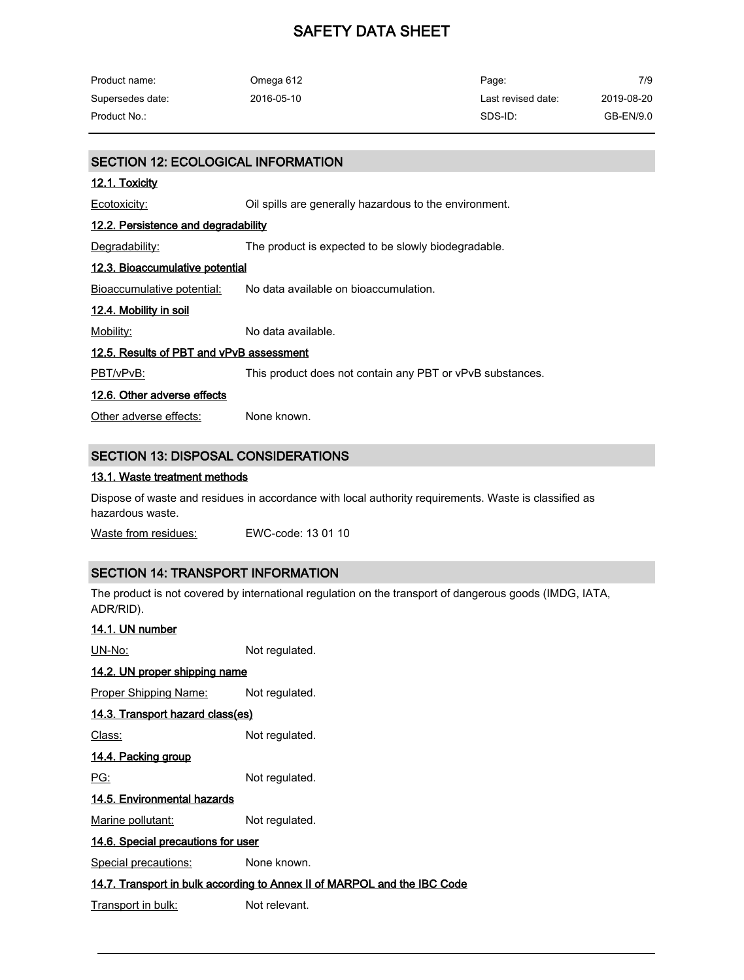| Product name:    | Omega 612  | Page:              | 7/9        |
|------------------|------------|--------------------|------------|
| Supersedes date: | 2016-05-10 | Last revised date: | 2019-08-20 |
| Product No.:     |            | SDS-ID:            | GB-EN/9.0  |

#### SECTION 12: ECOLOGICAL INFORMATION

#### 12.1. Toxicity

Ecotoxicity: Cil spills are generally hazardous to the environment.

#### 12.2. Persistence and degradability

Degradability: The product is expected to be slowly biodegradable.

#### 12.3. Bioaccumulative potential

Bioaccumulative potential: No data available on bioaccumulation.

#### 12.4. Mobility in soil

Mobility: Mo data available.

#### 12.5. Results of PBT and vPvB assessment

PBT/vPvB: This product does not contain any PBT or vPvB substances.

#### 12.6. Other adverse effects

Other adverse effects: None known.

#### SECTION 13: DISPOSAL CONSIDERATIONS

#### 13.1. Waste treatment methods

Dispose of waste and residues in accordance with local authority requirements. Waste is classified as hazardous waste.

Waste from residues: EWC-code: 13 01 10

#### SECTION 14: TRANSPORT INFORMATION

The product is not covered by international regulation on the transport of dangerous goods (IMDG, IATA, ADR/RID).

| 14.1. UN number                    |                                                                          |
|------------------------------------|--------------------------------------------------------------------------|
| UN-No:                             | Not regulated.                                                           |
| 14.2. UN proper shipping name      |                                                                          |
| <u>Proper Shipping Name:</u>       | Not regulated.                                                           |
| 14.3. Transport hazard class(es)   |                                                                          |
| Class:                             | Not regulated.                                                           |
| <u>14.4. Packing group</u>         |                                                                          |
| PG:                                | Not regulated.                                                           |
| 14.5. Environmental hazards        |                                                                          |
| Marine pollutant:                  | Not regulated.                                                           |
| 14.6. Special precautions for user |                                                                          |
| Special precautions:               | None known.                                                              |
|                                    | 14.7. Transport in bulk according to Annex II of MARPOL and the IBC Code |
| Transport in bulk:                 | Not relevant.                                                            |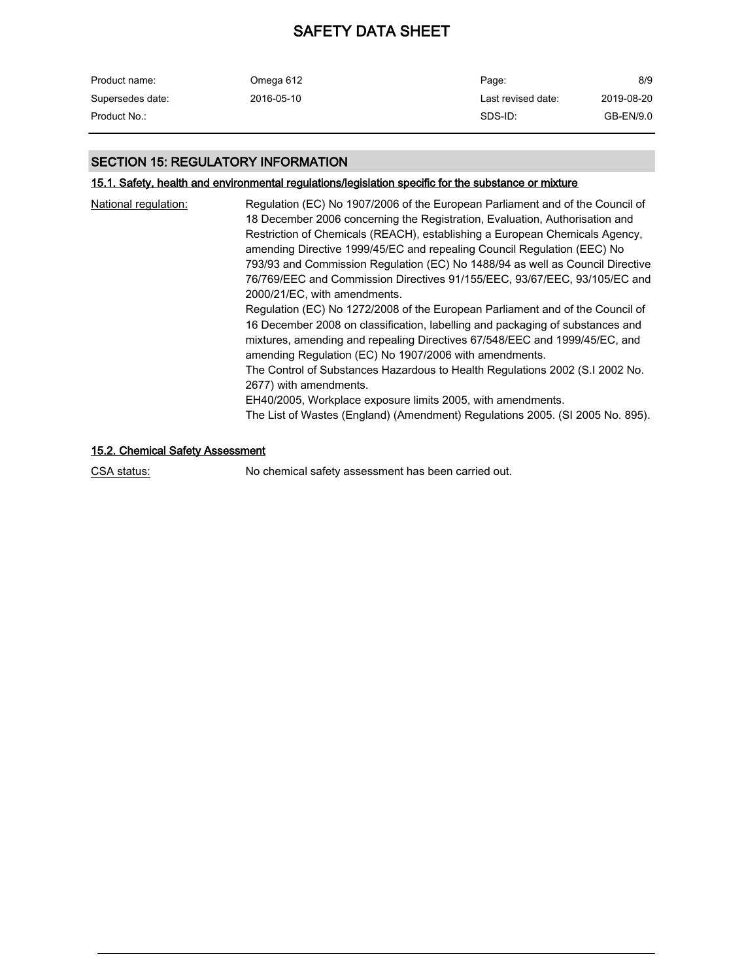| Product name:    | Omega 612  | Page:              | 8/9        |
|------------------|------------|--------------------|------------|
| Supersedes date: | 2016-05-10 | Last revised date: | 2019-08-20 |
| Product No.:     |            | SDS-ID:            | GB-EN/9.0  |

#### SECTION 15: REGULATORY INFORMATION

## 15.1. Safety, health and environmental regulations/legislation specific for the substance or mixture

| National regulation: | Regulation (EC) No 1907/2006 of the European Parliament and of the Council of<br>18 December 2006 concerning the Registration, Evaluation, Authorisation and<br>Restriction of Chemicals (REACH), establishing a European Chemicals Agency,<br>amending Directive 1999/45/EC and repealing Council Regulation (EEC) No<br>793/93 and Commission Regulation (EC) No 1488/94 as well as Council Directive<br>76/769/EEC and Commission Directives 91/155/EEC, 93/67/EEC, 93/105/EC and<br>2000/21/EC, with amendments.<br>Regulation (EC) No 1272/2008 of the European Parliament and of the Council of<br>16 December 2008 on classification, labelling and packaging of substances and<br>mixtures, amending and repealing Directives 67/548/EEC and 1999/45/EC, and<br>amending Regulation (EC) No 1907/2006 with amendments.<br>The Control of Substances Hazardous to Health Regulations 2002 (S.I 2002 No.<br>2677) with amendments.<br>EH40/2005, Workplace exposure limits 2005, with amendments.<br>The List of Wastes (England) (Amendment) Regulations 2005. (SI 2005 No. 895). |
|----------------------|------------------------------------------------------------------------------------------------------------------------------------------------------------------------------------------------------------------------------------------------------------------------------------------------------------------------------------------------------------------------------------------------------------------------------------------------------------------------------------------------------------------------------------------------------------------------------------------------------------------------------------------------------------------------------------------------------------------------------------------------------------------------------------------------------------------------------------------------------------------------------------------------------------------------------------------------------------------------------------------------------------------------------------------------------------------------------------------|
|                      |                                                                                                                                                                                                                                                                                                                                                                                                                                                                                                                                                                                                                                                                                                                                                                                                                                                                                                                                                                                                                                                                                          |

## 15.2. Chemical Safety Assessment

CSA status: No chemical safety assessment has been carried out.